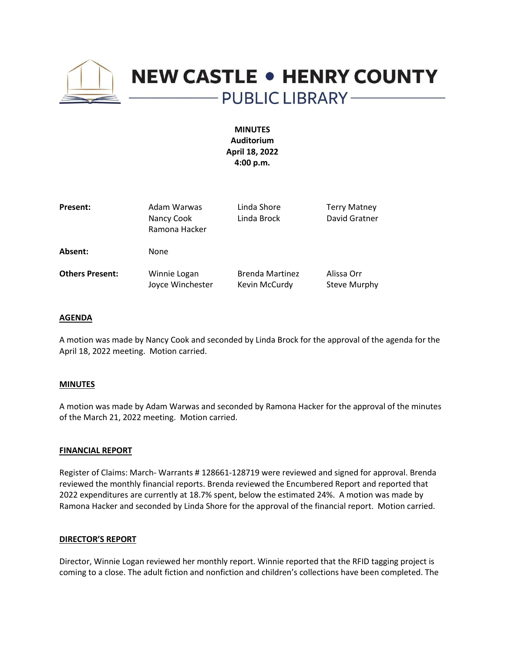

# **NEW CASTLE . HENRY COUNTY** - PUBLIC LIBRARY --

**MINUTES Auditorium April 18, 2022 4:00 p.m.**

| Present:               | Adam Warwas<br>Nancy Cook<br>Ramona Hacker | Linda Shore<br>Linda Brock              | <b>Terry Matney</b><br>David Gratner |
|------------------------|--------------------------------------------|-----------------------------------------|--------------------------------------|
| Absent:                | None                                       |                                         |                                      |
| <b>Others Present:</b> | Winnie Logan<br>Joyce Winchester           | <b>Brenda Martinez</b><br>Kevin McCurdy | Alissa Orr<br>Steve Murphy           |

## **AGENDA**

A motion was made by Nancy Cook and seconded by Linda Brock for the approval of the agenda for the April 18, 2022 meeting. Motion carried.

#### **MINUTES**

A motion was made by Adam Warwas and seconded by Ramona Hacker for the approval of the minutes of the March 21, 2022 meeting. Motion carried.

#### **FINANCIAL REPORT**

Register of Claims: March- Warrants # 128661-128719 were reviewed and signed for approval. Brenda reviewed the monthly financial reports. Brenda reviewed the Encumbered Report and reported that 2022 expenditures are currently at 18.7% spent, below the estimated 24%. A motion was made by Ramona Hacker and seconded by Linda Shore for the approval of the financial report. Motion carried.

#### **DIRECTOR'S REPORT**

Director, Winnie Logan reviewed her monthly report. Winnie reported that the RFID tagging project is coming to a close. The adult fiction and nonfiction and children's collections have been completed. The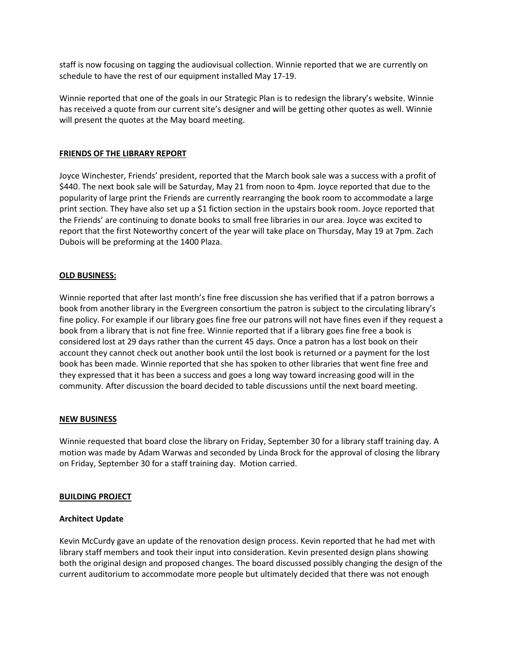staff is now focusing on tagging the audiovisual collection. Winnie reported that we are currently on schedule to have the rest of our equipment installed May 17-19.

Winnie reported that one of the goals in our Strategic Plan is to redesign the library's website. Winnie has received a quote from our current site's designer and will be getting other quotes as well. Winnie will present the quotes at the May board meeting.

# **FRIENDS OF THE LIBRARY REPORT**

Joyce Winchester, Friends' president, reported that the March book sale was a success with a profit of \$440. The next book sale will be Saturday, May 21 from noon to 4pm. Joyce reported that due to the popularity of large print the Friends are currently rearranging the book room to accommodate a large print section. They have also set up a \$1 fiction section in the upstairs book room. Joyce reported that the Friends' are continuing to donate books to small free libraries in our area. Joyce was excited to report that the first Noteworthy concert of the year will take place on Thursday, May 19 at 7pm. Zach Dubois will be preforming at the 1400 Plaza.

# **OLD BUSINESS:**

Winnie reported that after last month's fine free discussion she has verified that if a patron borrows a book from another library in the Evergreen consortium the patron is subject to the circulating library's fine policy. For example if our library goes fine free our patrons will not have fines even if they request a book from a library that is not fine free. Winnie reported that if a library goes fine free a book is considered lost at 29 days rather than the current 45 days. Once a patron has a lost book on their account they cannot check out another book until the lost book is returned or a payment for the lost book has been made. Winnie reported that she has spoken to other libraries that went fine free and they expressed that it has been a success and goes a long way toward increasing good will in the community. After discussion the board decided to table discussions until the next board meeting.

## **NEW BUSINESS**

Winnie requested that board close the library on Friday, September 30 for a library staff training day. A motion was made by Adam Warwas and seconded by Linda Brock for the approval of closing the library on Friday, September 30 for a staff training day. Motion carried.

## **BUILDING PROJECT**

## **Architect Update**

Kevin McCurdy gave an update of the renovation design process. Kevin reported that he had met with library staff members and took their input into consideration. Kevin presented design plans showing both the original design and proposed changes. The board discussed possibly changing the design of the current auditorium to accommodate more people but ultimately decided that there was not enough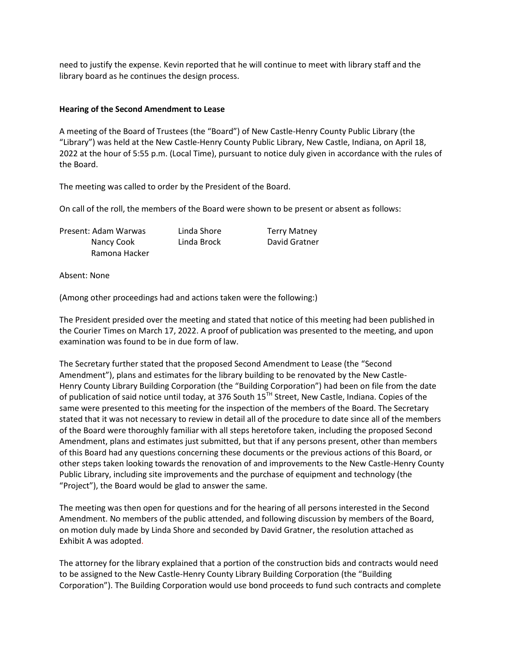need to justify the expense. Kevin reported that he will continue to meet with library staff and the library board as he continues the design process.

# **Hearing of the Second Amendment to Lease**

A meeting of the Board of Trustees (the "Board") of New Castle-Henry County Public Library (the "Library") was held at the New Castle-Henry County Public Library, New Castle, Indiana, on April 18, 2022 at the hour of 5:55 p.m. (Local Time), pursuant to notice duly given in accordance with the rules of the Board.

The meeting was called to order by the President of the Board.

On call of the roll, the members of the Board were shown to be present or absent as follows:

| Present: Adam Warwas | Linda Shore | <b>Terry Matney</b> |
|----------------------|-------------|---------------------|
| Nancy Cook           | Linda Brock | David Gratner       |
| Ramona Hacker        |             |                     |

Absent: None

(Among other proceedings had and actions taken were the following:)

The President presided over the meeting and stated that notice of this meeting had been published in the Courier Times on March 17, 2022. A proof of publication was presented to the meeting, and upon examination was found to be in due form of law.

The Secretary further stated that the proposed Second Amendment to Lease (the "Second Amendment"), plans and estimates for the library building to be renovated by the New Castle-Henry County Library Building Corporation (the "Building Corporation") had been on file from the date of publication of said notice until today, at 376 South 15<sup>TH</sup> Street, New Castle, Indiana. Copies of the same were presented to this meeting for the inspection of the members of the Board. The Secretary stated that it was not necessary to review in detail all of the procedure to date since all of the members of the Board were thoroughly familiar with all steps heretofore taken, including the proposed Second Amendment, plans and estimates just submitted, but that if any persons present, other than members of this Board had any questions concerning these documents or the previous actions of this Board, or other steps taken looking towards the renovation of and improvements to the New Castle-Henry County Public Library, including site improvements and the purchase of equipment and technology (the "Project"), the Board would be glad to answer the same.

The meeting was then open for questions and for the hearing of all persons interested in the Second Amendment. No members of the public attended, and following discussion by members of the Board, on motion duly made by Linda Shore and seconded by David Gratner, the resolution attached as Exhibit A was adopted.

The attorney for the library explained that a portion of the construction bids and contracts would need to be assigned to the New Castle-Henry County Library Building Corporation (the "Building Corporation"). The Building Corporation would use bond proceeds to fund such contracts and complete